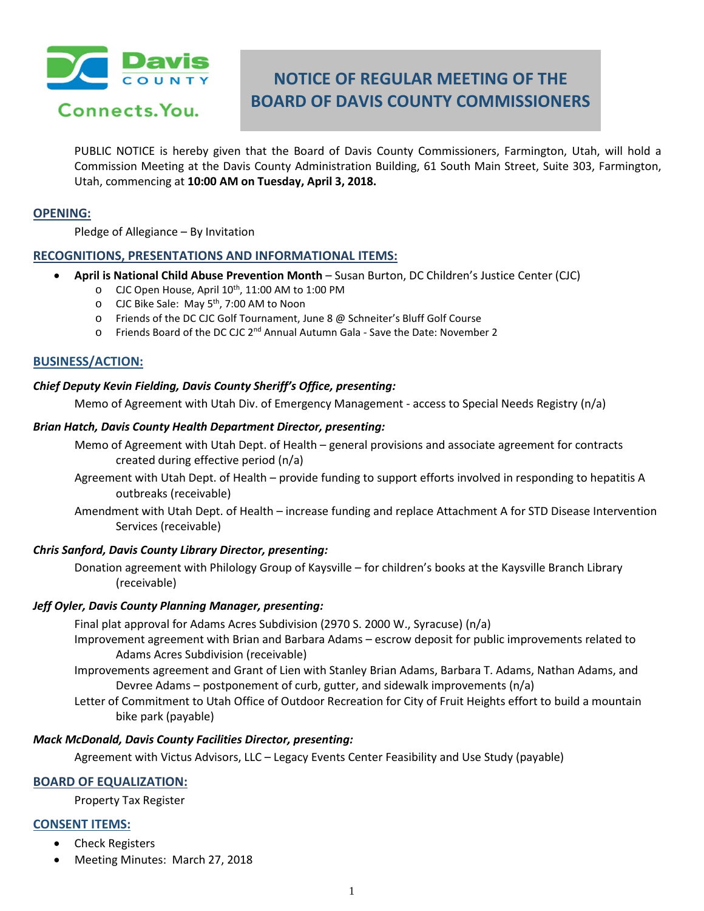

Connects. You.

# **NOTICE OF REGULAR MEETING OF THE BOARD OF DAVIS COUNTY COMMISSIONERS**

PUBLIC NOTICE is hereby given that the Board of Davis County Commissioners, Farmington, Utah, will hold a Commission Meeting at the Davis County Administration Building, 61 South Main Street, Suite 303, Farmington, Utah, commencing at **10:00 AM on Tuesday, April 3, 2018.**

#### **OPENING:**

Pledge of Allegiance – By Invitation

## **RECOGNITIONS, PRESENTATIONS AND INFORMATIONAL ITEMS:**

- **April is National Child Abuse Prevention Month** Susan Burton, DC Children's Justice Center (CJC)
	- o CJC Open House, April 10<sup>th</sup>, 11:00 AM to 1:00 PM
	- o CJC Bike Sale: May 5th, 7:00 AM to Noon
	- o Friends of the DC CJC Golf Tournament, June 8 @ Schneiter's Bluff Golf Course
	- o Friends Board of the DC CJC 2nd Annual Autumn Gala Save the Date: November 2

## **BUSINESS/ACTION:**

#### *Chief Deputy Kevin Fielding, Davis County Sheriff's Office, presenting:*

Memo of Agreement with Utah Div. of Emergency Management - access to Special Needs Registry (n/a)

#### *Brian Hatch, Davis County Health Department Director, presenting:*

- Memo of Agreement with Utah Dept. of Health general provisions and associate agreement for contracts created during effective period (n/a)
- Agreement with Utah Dept. of Health provide funding to support efforts involved in responding to hepatitis A outbreaks (receivable)
- Amendment with Utah Dept. of Health increase funding and replace Attachment A for STD Disease Intervention Services (receivable)

## *Chris Sanford, Davis County Library Director, presenting:*

Donation agreement with Philology Group of Kaysville – for children's books at the Kaysville Branch Library (receivable)

## *Jeff Oyler, Davis County Planning Manager, presenting:*

Final plat approval for Adams Acres Subdivision (2970 S. 2000 W., Syracuse) (n/a)

- Improvement agreement with Brian and Barbara Adams escrow deposit for public improvements related to Adams Acres Subdivision (receivable)
- Improvements agreement and Grant of Lien with Stanley Brian Adams, Barbara T. Adams, Nathan Adams, and Devree Adams – postponement of curb, gutter, and sidewalk improvements (n/a)
- Letter of Commitment to Utah Office of Outdoor Recreation for City of Fruit Heights effort to build a mountain bike park (payable)

#### *Mack McDonald, Davis County Facilities Director, presenting:*

Agreement with Victus Advisors, LLC – Legacy Events Center Feasibility and Use Study (payable)

# **BOARD OF EQUALIZATION:**

Property Tax Register

# **CONSENT ITEMS:**

- Check Registers
- Meeting Minutes: March 27, 2018